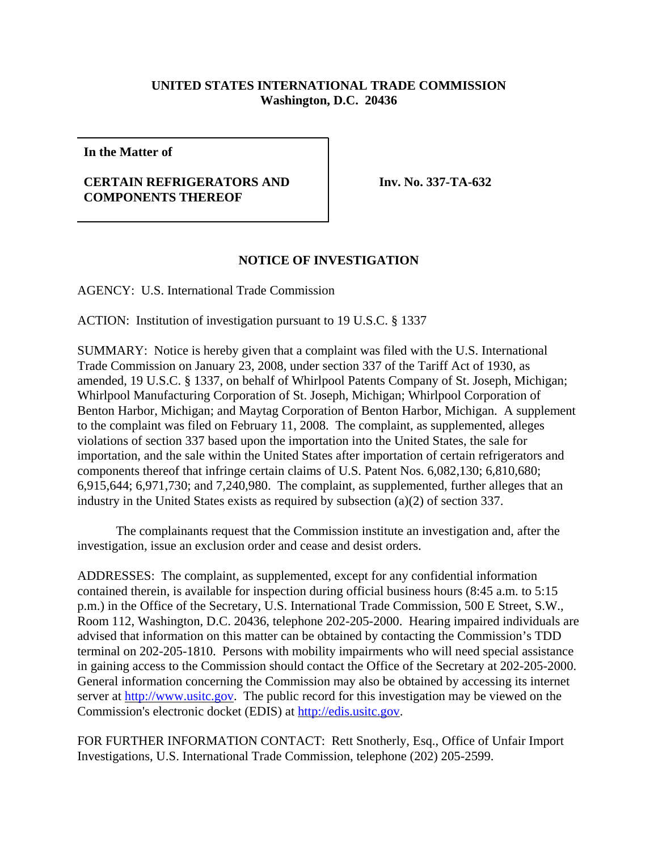## **UNITED STATES INTERNATIONAL TRADE COMMISSION Washington, D.C. 20436**

**In the Matter of**

## **CERTAIN REFRIGERATORS AND COMPONENTS THEREOF**

**Inv. No. 337-TA-632**

## **NOTICE OF INVESTIGATION**

AGENCY: U.S. International Trade Commission

ACTION: Institution of investigation pursuant to 19 U.S.C. § 1337

SUMMARY: Notice is hereby given that a complaint was filed with the U.S. International Trade Commission on January 23, 2008, under section 337 of the Tariff Act of 1930, as amended, 19 U.S.C. § 1337, on behalf of Whirlpool Patents Company of St. Joseph, Michigan; Whirlpool Manufacturing Corporation of St. Joseph, Michigan; Whirlpool Corporation of Benton Harbor, Michigan; and Maytag Corporation of Benton Harbor, Michigan. A supplement to the complaint was filed on February 11, 2008. The complaint, as supplemented, alleges violations of section 337 based upon the importation into the United States, the sale for importation, and the sale within the United States after importation of certain refrigerators and components thereof that infringe certain claims of U.S. Patent Nos. 6,082,130; 6,810,680; 6,915,644; 6,971,730; and 7,240,980. The complaint, as supplemented, further alleges that an industry in the United States exists as required by subsection (a)(2) of section 337.

The complainants request that the Commission institute an investigation and, after the investigation, issue an exclusion order and cease and desist orders.

ADDRESSES: The complaint, as supplemented, except for any confidential information contained therein, is available for inspection during official business hours (8:45 a.m. to 5:15 p.m.) in the Office of the Secretary, U.S. International Trade Commission, 500 E Street, S.W., Room 112, Washington, D.C. 20436, telephone 202-205-2000. Hearing impaired individuals are advised that information on this matter can be obtained by contacting the Commission's TDD terminal on 202-205-1810. Persons with mobility impairments who will need special assistance in gaining access to the Commission should contact the Office of the Secretary at 202-205-2000. General information concerning the Commission may also be obtained by accessing its internet server at http://www.usitc.gov. The public record for this investigation may be viewed on the Commission's electronic docket (EDIS) at http://edis.usitc.gov.

FOR FURTHER INFORMATION CONTACT: Rett Snotherly, Esq., Office of Unfair Import Investigations, U.S. International Trade Commission, telephone (202) 205-2599.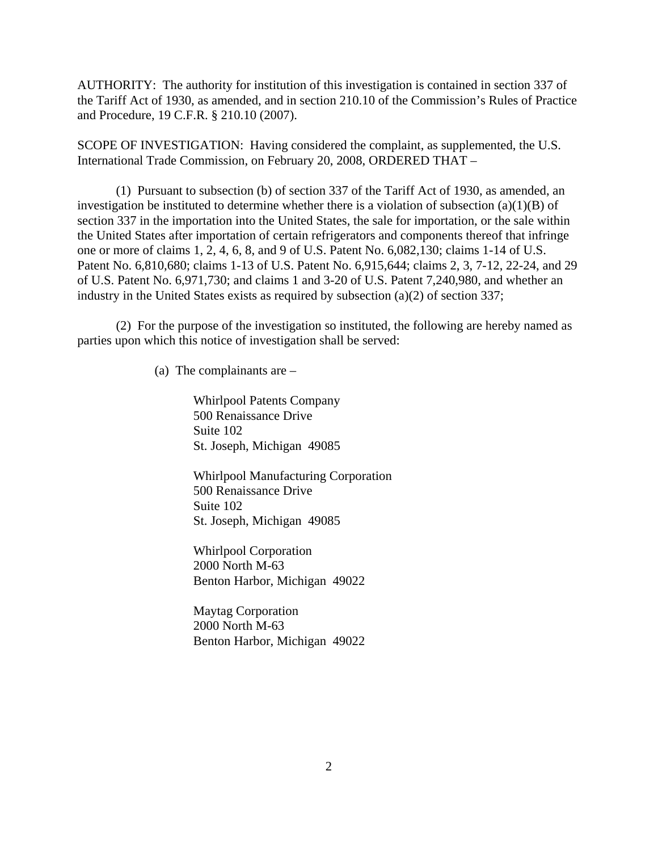AUTHORITY: The authority for institution of this investigation is contained in section 337 of the Tariff Act of 1930, as amended, and in section 210.10 of the Commission's Rules of Practice and Procedure, 19 C.F.R. § 210.10 (2007).

SCOPE OF INVESTIGATION: Having considered the complaint, as supplemented, the U.S. International Trade Commission, on February 20, 2008, ORDERED THAT –

(1) Pursuant to subsection (b) of section 337 of the Tariff Act of 1930, as amended, an investigation be instituted to determine whether there is a violation of subsection  $(a)(1)(B)$  of section 337 in the importation into the United States, the sale for importation, or the sale within the United States after importation of certain refrigerators and components thereof that infringe one or more of claims 1, 2, 4, 6, 8, and 9 of U.S. Patent No. 6,082,130; claims 1-14 of U.S. Patent No. 6,810,680; claims 1-13 of U.S. Patent No. 6,915,644; claims 2, 3, 7-12, 22-24, and 29 of U.S. Patent No. 6,971,730; and claims 1 and 3-20 of U.S. Patent 7,240,980, and whether an industry in the United States exists as required by subsection (a)(2) of section 337;

(2) For the purpose of the investigation so instituted, the following are hereby named as parties upon which this notice of investigation shall be served:

(a) The complainants are –

Whirlpool Patents Company 500 Renaissance Drive Suite 102 St. Joseph, Michigan 49085

Whirlpool Manufacturing Corporation 500 Renaissance Drive Suite 102 St. Joseph, Michigan 49085

Whirlpool Corporation 2000 North M-63 Benton Harbor, Michigan 49022

Maytag Corporation 2000 North M-63 Benton Harbor, Michigan 49022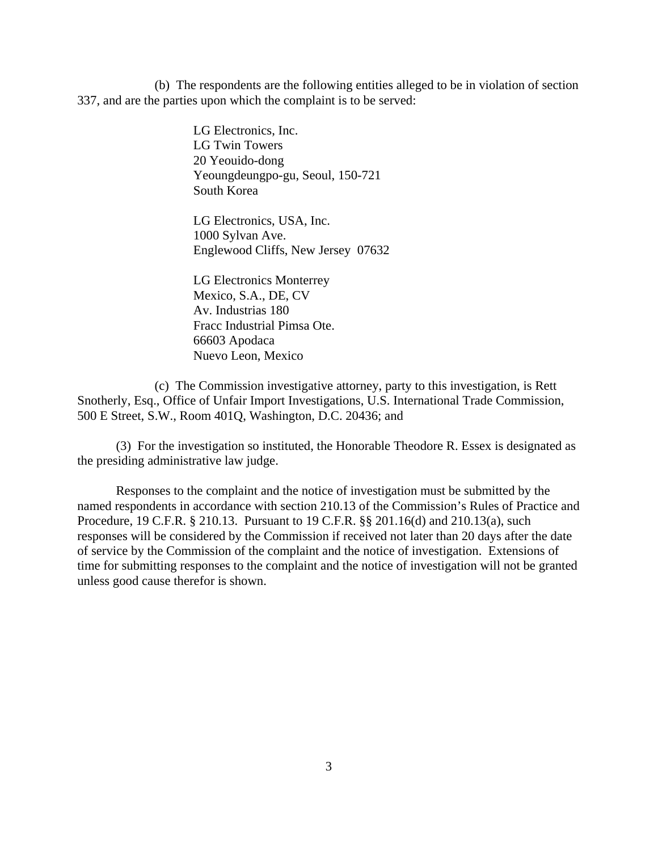(b) The respondents are the following entities alleged to be in violation of section 337, and are the parties upon which the complaint is to be served:

> LG Electronics, Inc. LG Twin Towers 20 Yeouido-dong Yeoungdeungpo-gu, Seoul, 150-721 South Korea

LG Electronics, USA, Inc. 1000 Sylvan Ave. Englewood Cliffs, New Jersey 07632

LG Electronics Monterrey Mexico, S.A., DE, CV Av. Industrias 180 Fracc Industrial Pimsa Ote. 66603 Apodaca Nuevo Leon, Mexico

(c) The Commission investigative attorney, party to this investigation, is Rett Snotherly, Esq., Office of Unfair Import Investigations, U.S. International Trade Commission, 500 E Street, S.W., Room 401Q, Washington, D.C. 20436; and

(3) For the investigation so instituted, the Honorable Theodore R. Essex is designated as the presiding administrative law judge.

Responses to the complaint and the notice of investigation must be submitted by the named respondents in accordance with section 210.13 of the Commission's Rules of Practice and Procedure, 19 C.F.R. § 210.13. Pursuant to 19 C.F.R. §§ 201.16(d) and 210.13(a), such responses will be considered by the Commission if received not later than 20 days after the date of service by the Commission of the complaint and the notice of investigation. Extensions of time for submitting responses to the complaint and the notice of investigation will not be granted unless good cause therefor is shown.